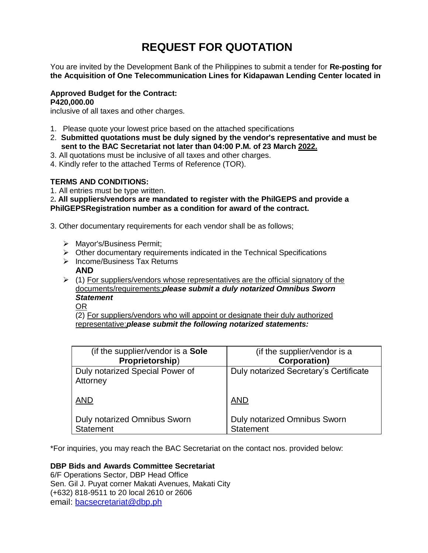# **REQUEST FOR QUOTATION**

You are invited by the Development Bank of the Philippines to submit a tender for **Re-posting for the Acquisition of One Telecommunication Lines for Kidapawan Lending Center located in**

## **Approved Budget for the Contract: P420,000.00**

inclusive of all taxes and other charges.

- 1. Please quote your lowest price based on the attached specifications
- 2. **Submitted quotations must be duly signed by the vendor's representative and must be sent to the BAC Secretariat not later than 04:00 P.M. of 23 March 2022.**
- 3. All quotations must be inclusive of all taxes and other charges.
- 4. Kindly refer to the attached Terms of Reference (TOR).

## **TERMS AND CONDITIONS:**

1. All entries must be type written.

2**. All suppliers/vendors are mandated to register with the PhilGEPS and provide a PhilGEPSRegistration number as a condition for award of the contract.**

3. Other documentary requirements for each vendor shall be as follows;

- > Mayor's/Business Permit;
- $\triangleright$  Other documentary requirements indicated in the Technical Specifications
- $\triangleright$  Income/Business Tax Returns
	- **AND**
- $(1)$  For suppliers/vendors whose representatives are the official signatory of the documents/requirements:*please submit a duly notarized Omnibus Sworn Statement*
	- OR

(2) For suppliers/vendors who will appoint or designate their duly authorized representative:*please submit the following notarized statements:*

| (if the supplier/vendor is a <b>Sole</b> )              | (if the supplier/vendor is a                     |
|---------------------------------------------------------|--------------------------------------------------|
| Proprietorship)                                         | <b>Corporation)</b>                              |
| Duly notarized Special Power of<br>Attorney             | Duly notarized Secretary's Certificate           |
| <b>AND</b>                                              | <b>AND</b>                                       |
| <b>Duly notarized Omnibus Sworn</b><br><b>Statement</b> | Duly notarized Omnibus Sworn<br><b>Statement</b> |

\*For inquiries, you may reach the BAC Secretariat on the contact nos. provided below:

# **DBP Bids and Awards Committee Secretariat**

6/F Operations Sector, DBP Head Office Sen. Gil J. Puyat corner Makati Avenues, Makati City (+632) 818-9511 to 20 local 2610 or 2606 email: [bacsecretariat@dbp.ph](mailto:bacsecretariat@dbp.ph)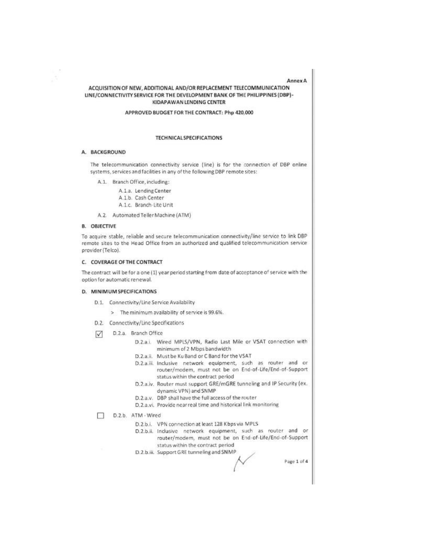#### **Annex A**

#### ACQUISITION OF NEW, ADDITIONAL AND/OR REPLACEMENT TELECOMMUNICATION LINE/CONNECTIVITY SERVICE FOR THE DEVELOPMENT BANK OF THE PHILIPPINES (DBP)-KIDAPAWAN LENDING CENTER

APPROVED BUDGET FOR THE CONTRACT: Php 420,000

#### **TECHNICAL SPECIFICATIONS**

#### A. BACKGROUND

The telecommunication connectivity service (line) is for the connection of DBP online systems, services and facilities in any of the following DBP remote sites:

- A.1. Branch Office, including:
	- A.1.a. Lending Center
	- A.1.b. Cash Center
	- A.1.c. Branch-Lite Unit
- A.2. Automated Teller Machine (ATM)

#### **B. OBJECTIVE**

To acquire stable, reliable and secure telecommunication connectivity/line service to link DBP remote sites to the Head Office from an authorized and qualified telecommunication service provider (Telco).

#### C. COVERAGE OF THE CONTRACT

The contract will be for a one (1) year period starting from date of acceptance of service with the option for automatic renewal.

#### D. MINIMUM SPECIFICATIONS

- D.1. Connectivity/Line Service Availability
	- > The minimum availability of service is 99.6%.
- D.2. Connectivity/Line Specifications
- D.2.a. Branch Office  $\triangledown$ 
	- D.2.a.i. Wired MPLS/VPN, Radio Last Mile or VSAT connection with minimum of 2 Mbps bandwidth
	- D.2.a.ii. Must be Ku Band or C Band for the VSAT
	- D.2.a.iii. Inclusive network equipment, such as router and or router/modem, must not be on End-of-Life/End-of-Support status within the contract period
	- D.2.a.iv. Router must support GRE/mGRE tunneling and IP Security (ex. dynamic VPN) and SNMP
	- D.2.a.v. DBP shall have the full access of the router
	- D.2.a.vi. Provide near real time and historical link monitoring
- D.2.b. ATM Wired
	- D.2.b.i. VPN connection at least 128 Kbps via MPLS
	- D.2.b.ii. Inclusive network equipment, such as router and or router/modem, must not be on End-of-Life/End-of-Support status within the contract period
	- D.2.b.iii. Support GRE tunneling and SNMP

Page 1 of 4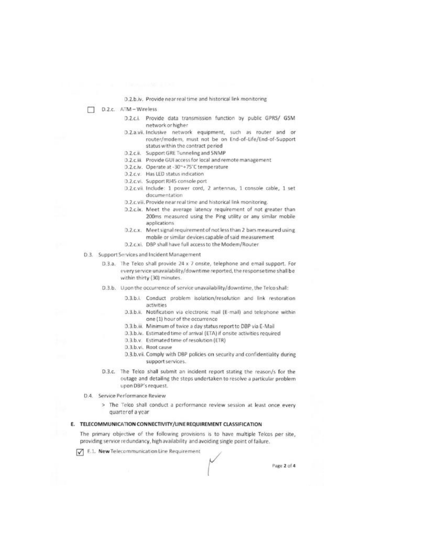#### D.2.b.lv. Provide near real time and historical link monitoring

- D.2.c. ATM-Wireless
	- D.2.c.i. Provide data transmission function by public GPRS/ GSM network or higher
	- D.2.a.vii. Inclusive network equipment, such as router and or router/modem, must not be on End-of-Life/End-of-Support status within the contract period
	- D.2.c.ii. Support GRE Tunneling and SNMP
	- D.2.c.iii. Provide GUI access for local and remote management
	- D.2.c.iv. Operate at -30~+75°C temperature
	- D.2.c.v. Has LED status indication
	- D.2.c.vi. Support RJ45 console port
	- D.2.c.vii. Include: 1 power cord, 2 antennas, 1 console cable, 1 set documentation
	- D.2.c.viii. Provide near real time and historical link monitoring.
	- D.2.c.ix. Meet the average latency requirement of not greater than 200ms measured using the Ping utility or any similar mobile applications
	- D.2.c.x. Meet signal requirement of not less than 2 bars measured using mobile or similar devices capable of said measurement
	- D.2.c.xi. DBP shall have full access to the Modem/Router
- D.3. Support Services and Incident Management
	- D.3.a. The Telco shall provide 24 x 7 onsite, telephone and email support. For every service unavailability/downtime reported, the response time shall be within thirty (30) minutes.
	- D.3.b. Upon the occurrence of service unavailability/downtime, the Telco shall:
		- D.3.b.i. Conduct problem isolation/resolution and link restoration activities
		- D.3.b.ii. Notification via electronic mail (E-mail) and telephone within one (1) hour of the occurrence
		- D.3.b.iii. Minimum of twice a day status report to DBP via E-Mail
		- D.3.b.iv. Estimated time of arrival (ETA) if onsite activities required
		- D.3.b.v. Estimated time of resolution (ETR)
		- D.3.b.vi. Root cause
		- D.3.b.vii. Comply with DBP policies on security and confidentiality during support services.
	- D.3.c. The Telco shall submit an incident report stating the reason/s for the outage and detailing the steps undertaken to resolve a particular problem upon DBP's request.
- D.4. Service Performance Review
	- > The Telco shall conduct a performance review session at least once every quarter of a year

#### E. TELECOMMUNICATION CONNECTIVITY/LINE REQUIREMENT CLASSIFICATION

The primary objective of the following provisions is to have multiple Telcos per site, providing service redundancy, high availability and avoiding single point of failure.

F.1. New Telecommunication Line Requirement

Page 2 of 4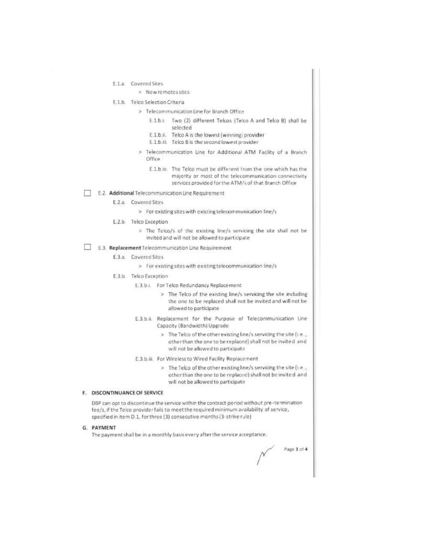- E.1.a. Covered Sites
	- > New remotes sites
- E.1.b. Telco Selection Criteria
	- > Telecommunication Line for Branch Office
		- E.1.b.i. Two (2) different Telcos (Telco A and Telco B) shall be selected
		- E.1.b.ii. Telco A is the lowest (winning) provider
		- E.1.b.iii. Telco B is the second lowest provider
	- Telecommunication Line for Additional ATM Facility of a Branch s Office
		- E.1.b.iv. The Telco must be different from the one which has the majority or most of the telecommunication connectivity services provided for the ATM/s of that Branch Office
- E.2. Additional Telecommunication Line Requirement
	- E.2.a. Covered Sites
		- > For existing sites with existing telecommunication line/s
	- E.2.b. Telco Exception
		- > The Telco/s of the existing line/s servicing the site shall not be invited and will not be allowed to participate
- E.3. Replacement Telecommunication Line Requirement
	- E.3.a. Covered Sites
		- > For existing sites with existing telecommunication line/s
	- E.3.b. Telco Exception
		- E.3.b.i. For Telco Redundancy Replacement
			- > The Telco of the existing line/s servicing the site including the one to be replaced shall not be invited and will not be allowed to participate
		- E.3.b.ii. Replacement for the Purpose of Telecommunication Line Capacity (Bandwidth) Upgrade
			- > The Telco of the other existing line/s servicing the site (i.e., other than the one to be replaced) shall not be invited and will not be allowed to participate
		- E.3.b.iii. For Wireless to Wired Facility Replacement
			- > The Telco of the other existing line/s servicing the site (i.e., other than the one to be replaced) shall not be invited and will not be allowed to participate

#### F. DISCONTINUANCE OF SERVICE

DBP can opt to discontinue the service within the contract period without pre-termination fee/s, if the Telco provider fails to meet the required minimum availability of service, specified in item D.1, for three (3) consecutive months (3-strike rule)

#### G. PAYMENT

The payment shall be in a monthly basis every after the service acceptance.

Page 3 of 4